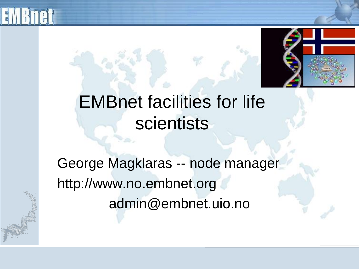



## EMBnet facilities for life scientists

George Magklaras -- node manager http://www.no.embnet.org admin@embnet.uio.no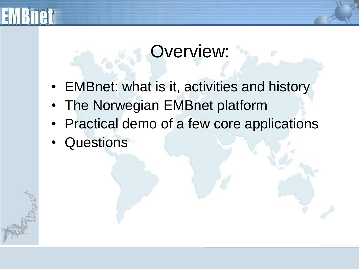## Overview:

- EMBnet: what is it, activities and history
- The Norwegian EMBnet platform
- Practical demo of a few core applications
- Questions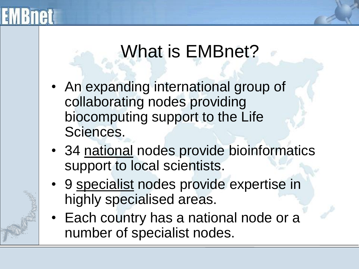# What is EMBnet?

- An expanding international group of collaborating nodes providing biocomputing support to the Life Sciences.
- 34 national nodes provide bioinformatics support to local scientists.
- 9 specialist nodes provide expertise in highly specialised areas.
- Each country has a national node or a number of specialist nodes.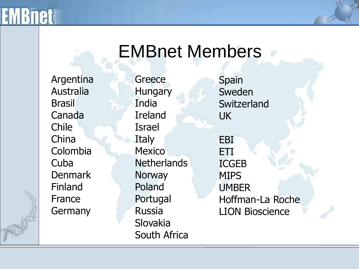### EMBnet Members

Argentina Australia **Brasil** Canada Chile China Colombia Cuba **Denmark** Finland France **Germany** 

**Greece Hungary** India Ireland Israel Italy **Mexico Netherlands Norway** Poland Portugal Russia Slovakia South Africa

Spain Sweden **Switzerland** UK EBI

ETI ICGEB MIPS UMBER Hoffman-La Roche LION Bioscience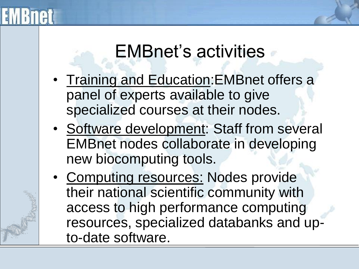## EMBnet's activities

- Training and Education:EMBnet offers a panel of experts available to give specialized courses at their nodes.
- Software development: Staff from several EMBnet nodes collaborate in developing new biocomputing tools.
- Computing resources: Nodes provide their national scientific community with access to high performance computing resources, specialized databanks and upto-date software.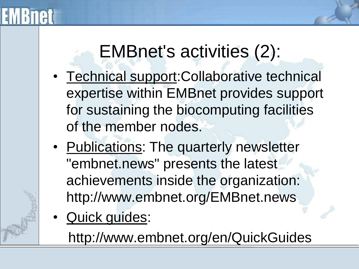

## EMBnet's activities (2):

- Technical support:Collaborative technical expertise within EMBnet provides support for sustaining the biocomputing facilities of the member nodes.
- Publications: The quarterly newsletter "embnet.news" presents the latest achievements inside the organization: http://www.embnet.org/EMBnet.news
- Quick guides:

http://www.embnet.org/en/QuickGuides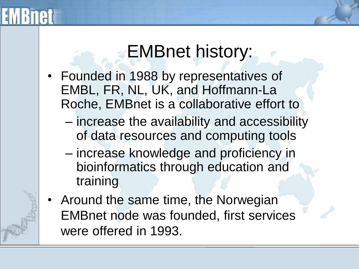### EMBnet history:

- Founded in 1988 by representatives of EMBL, FR, NL, UK, and Hoffmann-La Roche, EMBnet is a collaborative effort to
	- increase the availability and accessibility of data resources and computing tools
	- increase knowledge and proficiency in bioinformatics through education and training
- Around the same time, the Norwegian EMBnet node was founded, first services were offered in 1993.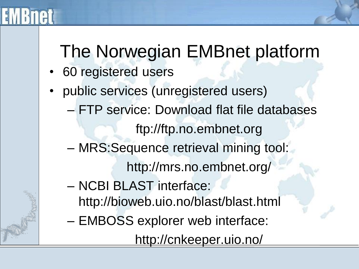

## The Norwegian EMBnet platform

- 60 registered users
- public services (unregistered users) – FTP service: Download flat file databases ftp://ftp.no.embnet.org – MRS:Sequence retrieval mining tool: http://mrs.no.embnet.org/ – NCBI BLAST interface: http://bioweb.uio.no/blast/blast.html – EMBOSS explorer web interface: http://cnkeeper.uio.no/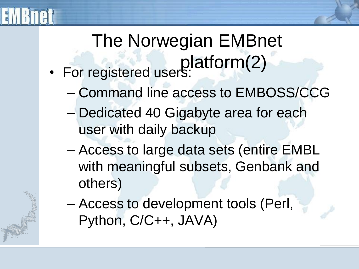### The Norwegian EMBnet platform(2) • For registered users:

- Command line access to EMBOSS/CCG
- Dedicated 40 Gigabyte area for each user with daily backup
- Access to large data sets (entire EMBL with meaningful subsets, Genbank and others)
- Access to development tools (Perl, Python, C/C++, JAVA)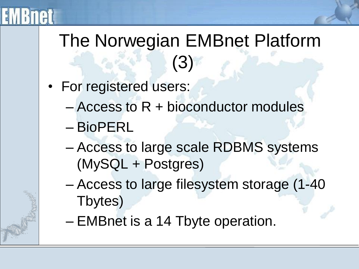

## The Norwegian EMBnet Platform (3)

- For registered users:
	- Access to R + bioconductor modules
	- BioPERL
	- Access to large scale RDBMS systems (MySQL + Postgres)
	- Access to large filesystem storage (1-40 Tbytes)
	- EMBnet is a 14 Tbyte operation.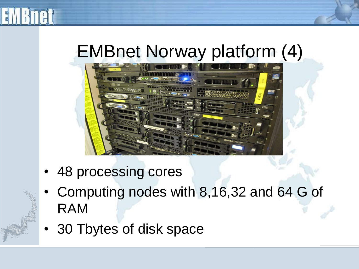

## EMBnet Norway platform (4)



- 48 processing cores
- Computing nodes with 8,16,32 and 64 G of RAM
- 30 Tbytes of disk space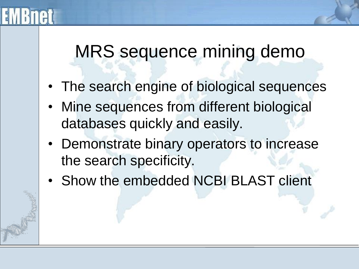### MRS sequence mining demo

- The search engine of biological sequences
- Mine sequences from different biological databases quickly and easily.
- Demonstrate binary operators to increase the search specificity.
- Show the embedded NCBI BLAST client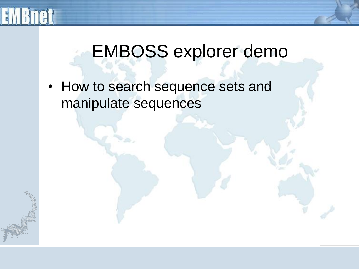

### EMBOSS explorer demo

• How to search sequence sets and manipulate sequences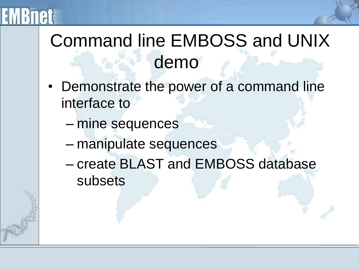

## Command line EMBOSS and UNIX demo

- Demonstrate the power of a command line interface to
	- mine sequences
	- manipulate sequences
	- create BLAST and EMBOSS database subsets